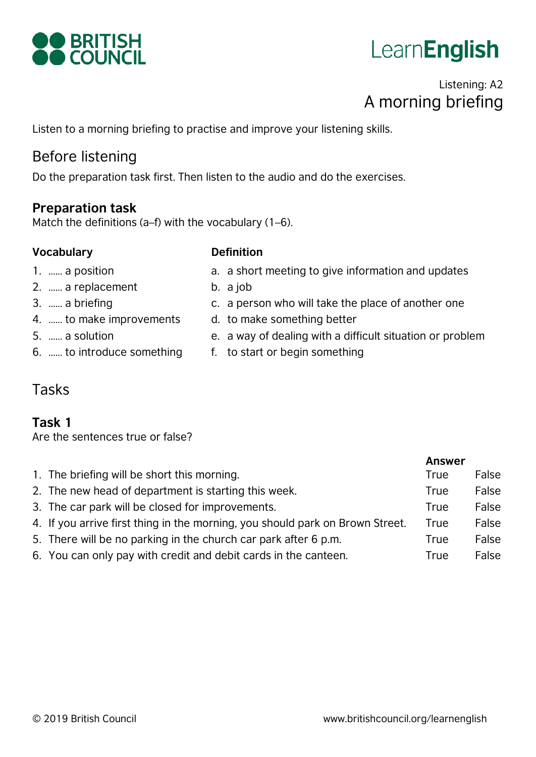

# **LearnEnglish**

# Listening: A2 A morning briefing

Listen to a morning briefing to practise and improve your listening skills.

# Before listening

Do the preparation task first. Then listen to the audio and do the exercises.

#### **Preparation task**

Match the definitions (a–f) with the vocabulary (1–6).

#### **Vocabulary Definition**

b. a job

- 1. …… a position
- 2. …… a replacement
- 3. …… a briefing

5. …… a solution

- 4. …… to make improvements
- d. to make something better
- e. a way of dealing with a difficult situation or problem
- 6. …… to introduce something
- f. to start or begin something

a. a short meeting to give information and updates

c. a person who will take the place of another one

# Tasks

#### **Task 1**

Are the sentences true or false?

|                                                                               | <b>Answer</b> |       |
|-------------------------------------------------------------------------------|---------------|-------|
| 1. The briefing will be short this morning.                                   | True          | False |
| 2. The new head of department is starting this week.                          | True          | False |
| 3. The car park will be closed for improvements.                              | True          | False |
| 4. If you arrive first thing in the morning, you should park on Brown Street. | True          | False |
| 5. There will be no parking in the church car park after 6 p.m.               | True          | False |
| 6. You can only pay with credit and debit cards in the canteen.               | True          | False |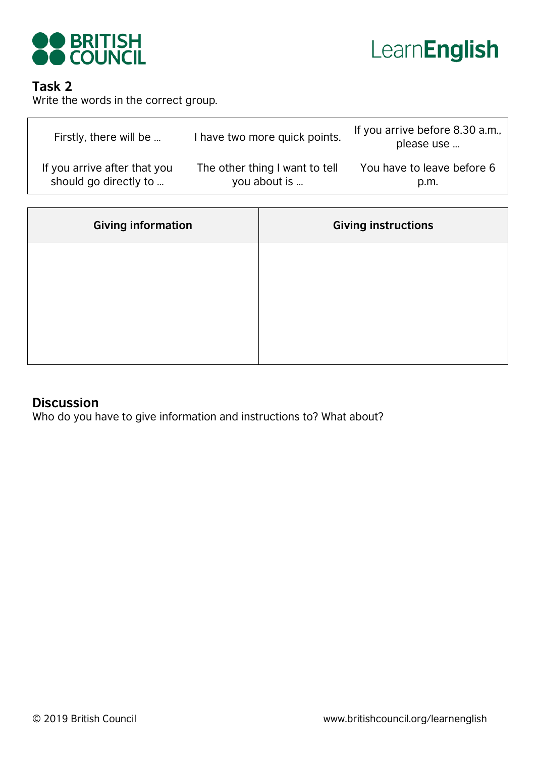



#### **Task 2**

Write the words in the correct group.

| Firstly, there will be       | I have two more quick points.  | If you arrive before 8.30 a.m.,<br>please use |
|------------------------------|--------------------------------|-----------------------------------------------|
| If you arrive after that you | The other thing I want to tell | You have to leave before 6                    |
| should go directly to        | you about is                   | p.m.                                          |

| <b>Giving information</b> | <b>Giving instructions</b> |
|---------------------------|----------------------------|
|                           |                            |
|                           |                            |
|                           |                            |
|                           |                            |

#### **Discussion**

Who do you have to give information and instructions to? What about?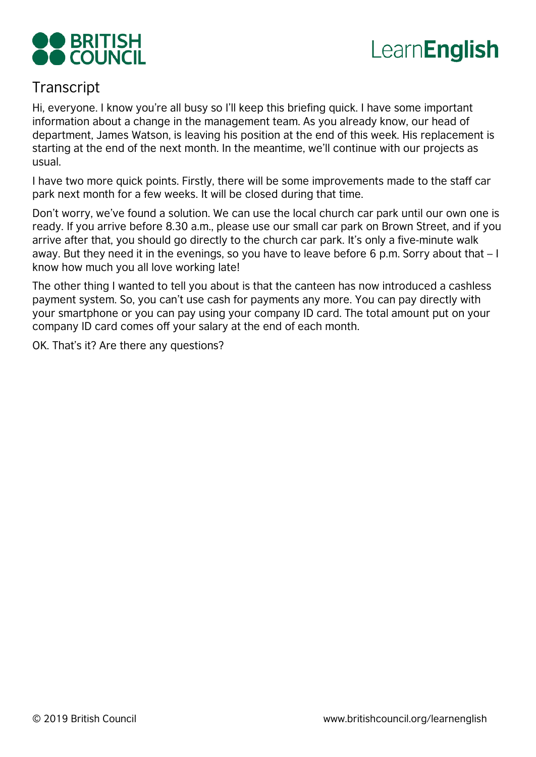



# **Transcript**

Hi, everyone. I know you're all busy so I'll keep this briefing quick. I have some important information about a change in the management team. As you already know, our head of department, James Watson, is leaving his position at the end of this week. His replacement is starting at the end of the next month. In the meantime, we'll continue with our projects as usual.

I have two more quick points. Firstly, there will be some improvements made to the staff car park next month for a few weeks. It will be closed during that time.

Don't worry, we've found a solution. We can use the local church car park until our own one is ready. If you arrive before 8.30 a.m., please use our small car park on Brown Street, and if you arrive after that, you should go directly to the church car park. It's only a five-minute walk away. But they need it in the evenings, so you have to leave before 6 p.m. Sorry about that – I know how much you all love working late!

The other thing I wanted to tell you about is that the canteen has now introduced a cashless payment system. So, you can't use cash for payments any more. You can pay directly with your smartphone or you can pay using your company ID card. The total amount put on your company ID card comes off your salary at the end of each month.

OK. That's it? Are there any questions?